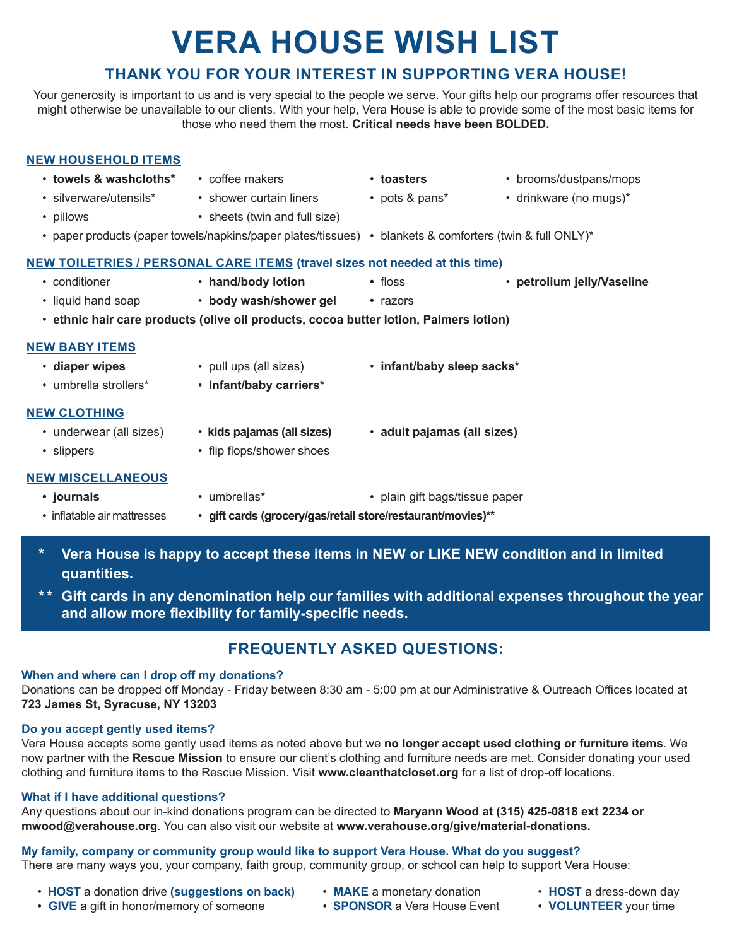# **VERA HOUSE WISH LIST**

## **THANK YOU FOR YOUR INTEREST IN SUPPORTING VERA HOUSE!**

Your generosity is important to us and is very special to the people we serve. Your gifts help our programs offer resources that might otherwise be unavailable to our clients. With your help, Vera House is able to provide some of the most basic items for those who need them the most. **Critical needs have been BOLDED.** 

#### **NEW HOUSEHOLD ITEMS**

- -
- 
- pillows sheets (twin and full size)
- 
- **towels & washcloths\*** coffee makers **toasters** brooms/dustpans/mops
- silverware/utensils\* shower curtain liners pots & pans\* drinkware (no mugs)\*
- 
- paper products (paper towels/napkins/paper plates/tissues) blankets & comforters (twin & full ONLY)\*

## **NEW TOILETRIES / PERSONAL CARE ITEMS (travel sizes not needed at this time)**

- 
- 
- conditioner **hand/body lotion •** floss **petrolium jelly/Vaseline**
- liquid hand soap **body wash/shower gel •** razors
	-
- • **ethnic hair care products (olive oil products, cocoa butter lotion, Palmers lotion)**

### **NEW BABY ITEMS**

- • **diaper wipes** pull ups (all sizes) • **infant/baby sleep sacks\***
- umbrella strollers\* **Infant/baby carriers\***

#### **NEW CLOTHING**

- 
- 
- 
- 

#### **NEW MISCELLANEOUS**

- **journals** umbrellas<sup>\*</sup> • plain gift bags/tissue paper
- inflatable air mattresses **gift cards (grocery/gas/retail store/restaurant/movies)\*\***
- \* **Vera House is happy to accept these items in NEW or LIKE NEW condition and in limited quantities.**
- \*\* **Gift cards in any denomination help our families with additional expenses throughout the year and allow more flexibility for family-specific needs.**

# **FREQUENTLY ASKED QUESTIONS:**

#### **When and where can I drop off my donations?**

Donations can be dropped off Monday - Friday between 8:30 am - 5:00 pm at our Administrative & Outreach Offices located at **723 James St, Syracuse, NY 13203** 

#### **Do you accept gently used items?**

Vera House accepts some gently used items as noted above but we **no longer accept used clothing or furniture items**. We now partner with the **Rescue Mission** to ensure our client's clothing and furniture needs are met. Consider donating your used clothing and furniture items to the Rescue Mission. Visit **www.cleanthatcloset.org** for a list of drop-off locations.

#### **What if I have additional questions?**

Any questions about our in-kind donations program can be directed to **Maryann Wood at (315) 425-0818 ext 2234 or mwood@verahouse.org**. You can also visit our website at **www.verahouse.org/give/material-donations.**

## **My family, company or community group would like to support Vera House. What do you suggest?**

There are many ways you, your company, faith group, community group, or school can help to support Vera House:

- **HOST** a donation drive **(suggestions on back) MAKE** a monetary donation **HOST** a dress-down day
	-
- 
- **GIVE** a gift in honor/memory of someone **SPONSOR** a Vera House Event **VOLUNTEER** your time
- 
- 
- 
- underwear (all sizes) **kids pajamas (all sizes) adult pajamas (all sizes)**
	-
- slippers flip flops/shower shoes